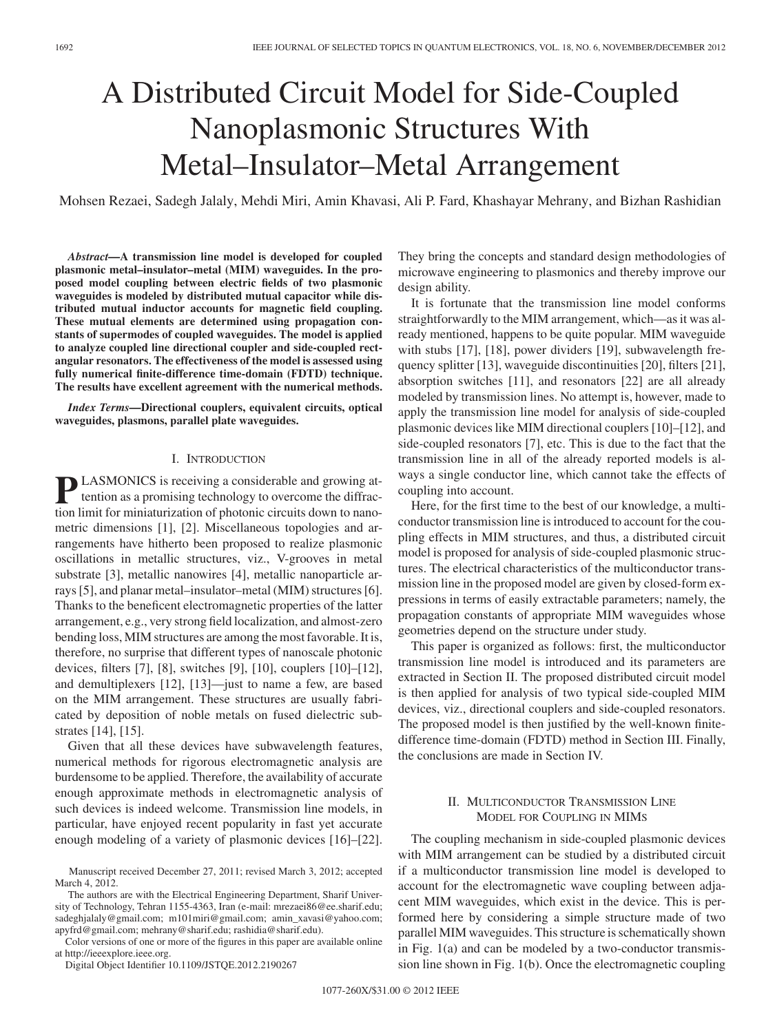# A Distributed Circuit Model for Side-Coupled Nanoplasmonic Structures With Metal–Insulator–Metal Arrangement

Mohsen Rezaei, Sadegh Jalaly, Mehdi Miri, Amin Khavasi, Ali P. Fard, Khashayar Mehrany, and Bizhan Rashidian

*Abstract***—A transmission line model is developed for coupled plasmonic metal–insulator–metal (MIM) waveguides. In the proposed model coupling between electric fields of two plasmonic waveguides is modeled by distributed mutual capacitor while distributed mutual inductor accounts for magnetic field coupling. These mutual elements are determined using propagation constants of supermodes of coupled waveguides. The model is applied to analyze coupled line directional coupler and side-coupled rectangular resonators. The effectiveness of the model is assessed using fully numerical finite-difference time-domain (FDTD) technique. The results have excellent agreement with the numerical methods.**

*Index Terms***—Directional couplers, equivalent circuits, optical waveguides, plasmons, parallel plate waveguides.**

### I. INTRODUCTION

**P**LASMONICS is receiving a considerable and growing attention as a promising to the 1 tention as a promising technology to overcome the diffraction limit for miniaturization of photonic circuits down to nanometric dimensions [1], [2]. Miscellaneous topologies and arrangements have hitherto been proposed to realize plasmonic oscillations in metallic structures, viz., V-grooves in metal substrate [3], metallic nanowires [4], metallic nanoparticle arrays [5], and planar metal–insulator–metal (MIM) structures [6]. Thanks to the beneficent electromagnetic properties of the latter arrangement, e.g., very strong field localization, and almost-zero bending loss, MIM structures are among the most favorable. It is, therefore, no surprise that different types of nanoscale photonic devices, filters [7], [8], switches [9], [10], couplers [10]–[12], and demultiplexers [12], [13]—just to name a few, are based on the MIM arrangement. These structures are usually fabricated by deposition of noble metals on fused dielectric substrates [14], [15].

Given that all these devices have subwavelength features, numerical methods for rigorous electromagnetic analysis are burdensome to be applied. Therefore, the availability of accurate enough approximate methods in electromagnetic analysis of such devices is indeed welcome. Transmission line models, in particular, have enjoyed recent popularity in fast yet accurate enough modeling of a variety of plasmonic devices [16]–[22].

Manuscript received December 27, 2011; revised March 3, 2012; accepted March 4, 2012.

The authors are with the Electrical Engineering Department, Sharif University of Technology, Tehran 1155-4363, Iran (e-mail: mrezaei86@ee.sharif.edu; sadeghjalaly@gmail.com; m101miri@gmail.com; amin\_xavasi@yahoo.com; apyfrd@gmail.com; mehrany@sharif.edu; rashidia@sharif.edu).

Color versions of one or more of the figures in this paper are available online at http://ieeexplore.ieee.org.

Digital Object Identifier 10.1109/JSTQE.2012.2190267

They bring the concepts and standard design methodologies of microwave engineering to plasmonics and thereby improve our design ability.

It is fortunate that the transmission line model conforms straightforwardly to the MIM arrangement, which—as it was already mentioned, happens to be quite popular. MIM waveguide with stubs [17], [18], power dividers [19], subwavelength frequency splitter [13], waveguide discontinuities [20], filters [21], absorption switches [11], and resonators [22] are all already modeled by transmission lines. No attempt is, however, made to apply the transmission line model for analysis of side-coupled plasmonic devices like MIM directional couplers [10]–[12], and side-coupled resonators [7], etc. This is due to the fact that the transmission line in all of the already reported models is always a single conductor line, which cannot take the effects of coupling into account.

Here, for the first time to the best of our knowledge, a multiconductor transmission line is introduced to account for the coupling effects in MIM structures, and thus, a distributed circuit model is proposed for analysis of side-coupled plasmonic structures. The electrical characteristics of the multiconductor transmission line in the proposed model are given by closed-form expressions in terms of easily extractable parameters; namely, the propagation constants of appropriate MIM waveguides whose geometries depend on the structure under study.

This paper is organized as follows: first, the multiconductor transmission line model is introduced and its parameters are extracted in Section II. The proposed distributed circuit model is then applied for analysis of two typical side-coupled MIM devices, viz., directional couplers and side-coupled resonators. The proposed model is then justified by the well-known finitedifference time-domain (FDTD) method in Section III. Finally, the conclusions are made in Section IV.

## II. MULTICONDUCTOR TRANSMISSION LINE MODEL FOR COUPLING IN MIMS

The coupling mechanism in side-coupled plasmonic devices with MIM arrangement can be studied by a distributed circuit if a multiconductor transmission line model is developed to account for the electromagnetic wave coupling between adjacent MIM waveguides, which exist in the device. This is performed here by considering a simple structure made of two parallel MIM waveguides. This structure is schematically shown in Fig. 1(a) and can be modeled by a two-conductor transmission line shown in Fig. 1(b). Once the electromagnetic coupling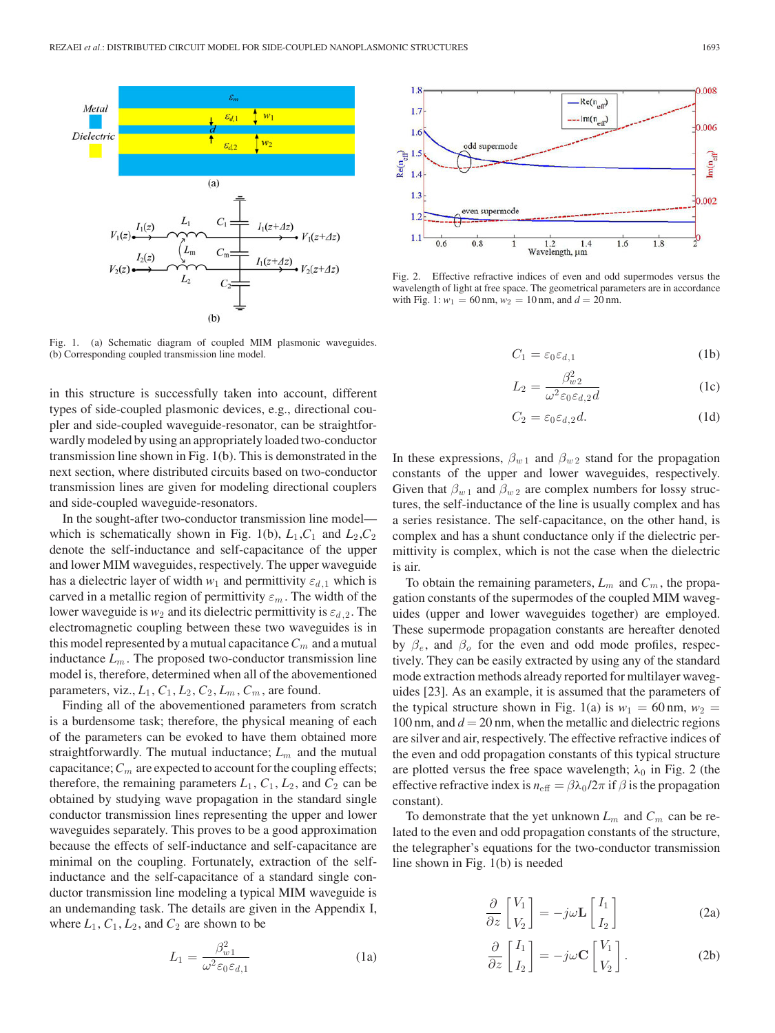

Fig. 1. (a) Schematic diagram of coupled MIM plasmonic waveguides. (b) Corresponding coupled transmission line model.



In the sought-after two-conductor transmission line model which is schematically shown in Fig. 1(b),  $L_1$ ,  $C_1$  and  $L_2$ ,  $C_2$ denote the self-inductance and self-capacitance of the upper and lower MIM waveguides, respectively. The upper waveguide has a dielectric layer of width  $w_1$  and permittivity  $\varepsilon_{d,1}$  which is carved in a metallic region of permittivity  $\varepsilon_m$ . The width of the lower waveguide is  $w_2$  and its dielectric permittivity is  $\varepsilon_{d,2}$ . The electromagnetic coupling between these two waveguides is in this model represented by a mutual capacitance  $C_m$  and a mutual inductance  $L_m$ . The proposed two-conductor transmission line model is, therefore, determined when all of the abovementioned parameters, viz.,  $L_1$ ,  $C_1$ ,  $L_2$ ,  $C_2$ ,  $L_m$ ,  $C_m$ , are found.

Finding all of the abovementioned parameters from scratch is a burdensome task; therefore, the physical meaning of each of the parameters can be evoked to have them obtained more straightforwardly. The mutual inductance;  $L_m$  and the mutual capacitance;  $C_m$  are expected to account for the coupling effects; therefore, the remaining parameters  $L_1$ ,  $C_1$ ,  $L_2$ , and  $C_2$  can be obtained by studying wave propagation in the standard single conductor transmission lines representing the upper and lower waveguides separately. This proves to be a good approximation because the effects of self-inductance and self-capacitance are minimal on the coupling. Fortunately, extraction of the selfinductance and the self-capacitance of a standard single conductor transmission line modeling a typical MIM waveguide is an undemanding task. The details are given in the Appendix I, where  $L_1$ ,  $C_1$ ,  $L_2$ , and  $C_2$  are shown to be

$$
L_1 = \frac{\beta_{w1}^2}{\omega^2 \varepsilon_0 \varepsilon_{d,1}} \tag{1a}
$$



Fig. 2. Effective refractive indices of even and odd supermodes versus the wavelength of light at free space. The geometrical parameters are in accordance with Fig. 1:  $w_1 = 60$  nm,  $w_2 = 10$  nm, and  $d = 20$  nm.

$$
C_1 = \varepsilon_0 \varepsilon_{d,1} \tag{1b}
$$

$$
L_2 = \frac{\beta_{w2}^2}{\omega^2 \varepsilon_0 \varepsilon_{d,2} d}
$$
 (1c)

$$
C_2 = \varepsilon_0 \varepsilon_{d,2} d. \tag{1d}
$$

In these expressions,  $\beta_{w1}$  and  $\beta_{w2}$  stand for the propagation constants of the upper and lower waveguides, respectively. Given that  $\beta_{w1}$  and  $\beta_{w2}$  are complex numbers for lossy structures, the self-inductance of the line is usually complex and has a series resistance. The self-capacitance, on the other hand, is complex and has a shunt conductance only if the dielectric permittivity is complex, which is not the case when the dielectric is air.

To obtain the remaining parameters,  $L_m$  and  $C_m$ , the propagation constants of the supermodes of the coupled MIM waveguides (upper and lower waveguides together) are employed. These supermode propagation constants are hereafter denoted by  $\beta_e$ , and  $\beta_o$  for the even and odd mode profiles, respectively. They can be easily extracted by using any of the standard mode extraction methods already reported for multilayer waveguides [23]. As an example, it is assumed that the parameters of the typical structure shown in Fig. 1(a) is  $w_1 = 60$  nm,  $w_2 =$ 100 nm, and  $d = 20$  nm, when the metallic and dielectric regions are silver and air, respectively. The effective refractive indices of the even and odd propagation constants of this typical structure are plotted versus the free space wavelength;  $\lambda_0$  in Fig. 2 (the effective refractive index is  $n_{\text{eff}} = \beta \lambda_0 / 2\pi$  if  $\beta$  is the propagation constant).

To demonstrate that the yet unknown  $L_m$  and  $C_m$  can be related to the even and odd propagation constants of the structure, the telegrapher's equations for the two-conductor transmission line shown in Fig. 1(b) is needed

$$
\frac{\partial}{\partial z} \begin{bmatrix} V_1 \\ V_2 \end{bmatrix} = -j\omega \mathbf{L} \begin{bmatrix} I_1 \\ I_2 \end{bmatrix}
$$
 (2a)

$$
\frac{\partial}{\partial z} \begin{bmatrix} I_1 \\ I_2 \end{bmatrix} = -j\omega \mathbf{C} \begin{bmatrix} V_1 \\ V_2 \end{bmatrix} . \tag{2b}
$$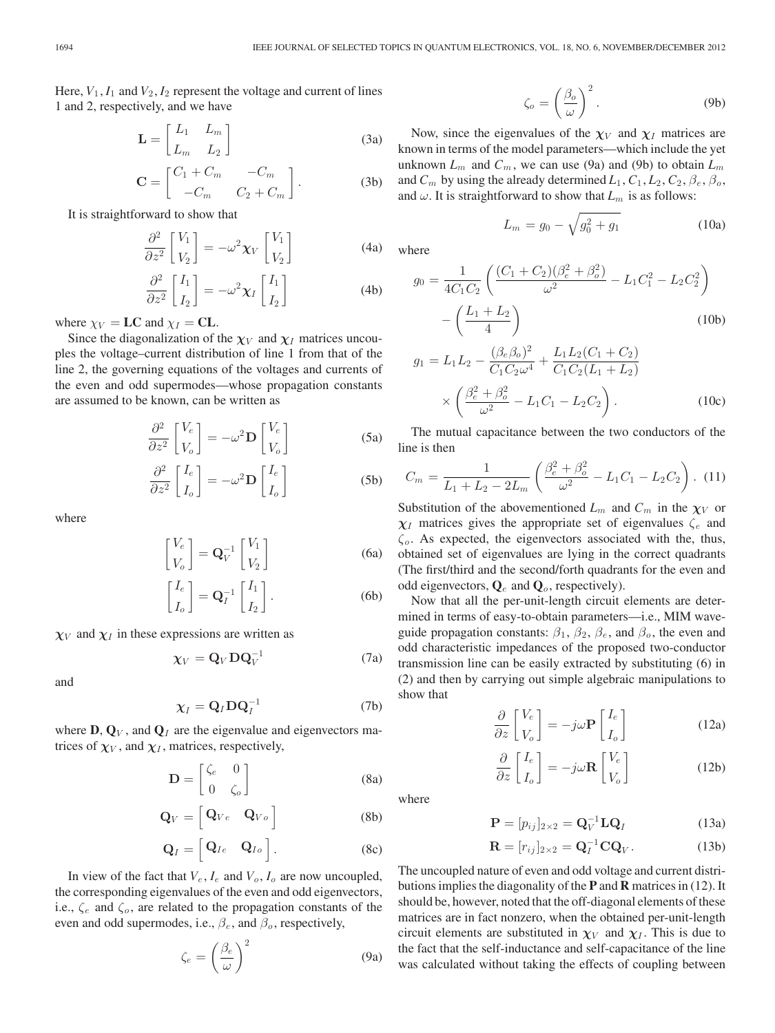Here,  $V_1$ ,  $I_1$  and  $V_2$ ,  $I_2$  represent the voltage and current of lines 1 and 2, respectively, and we have

$$
\mathbf{L} = \begin{bmatrix} L_1 & L_m \\ L_m & L_2 \end{bmatrix}
$$
 (3a)

$$
\mathbf{C} = \begin{bmatrix} C_1 + C_m & -C_m \\ -C_m & C_2 + C_m \end{bmatrix}.
$$
 (3b)

It is straightforward to show that

$$
\frac{\partial^2}{\partial z^2} \begin{bmatrix} V_1 \\ V_2 \end{bmatrix} = -\omega^2 \chi_V \begin{bmatrix} V_1 \\ V_2 \end{bmatrix}
$$
 (4a)

$$
\frac{\partial^2}{\partial z^2} \begin{bmatrix} I_1 \\ I_2 \end{bmatrix} = -\omega^2 \chi_I \begin{bmatrix} I_1 \\ I_2 \end{bmatrix}
$$
 (4b)

where  $\chi_V = LC$  and  $\chi_I = CL$ .

Since the diagonalization of the  $\chi_V$  and  $\chi_I$  matrices uncouples the voltage–current distribution of line 1 from that of the line 2, the governing equations of the voltages and currents of the even and odd supermodes—whose propagation constants are assumed to be known, can be written as

$$
\frac{\partial^2}{\partial z^2} \begin{bmatrix} V_e \\ V_o \end{bmatrix} = -\omega^2 \mathbf{D} \begin{bmatrix} V_e \\ V_o \end{bmatrix}
$$
 (5a)

$$
\frac{\partial^2}{\partial z^2} \begin{bmatrix} I_e \\ I_o \end{bmatrix} = -\omega^2 \mathbf{D} \begin{bmatrix} I_e \\ I_o \end{bmatrix}
$$
 (5b)

where

$$
\begin{bmatrix} V_e \\ V_o \end{bmatrix} = \mathbf{Q}_V^{-1} \begin{bmatrix} V_1 \\ V_2 \end{bmatrix}
$$
 (6a)

$$
\begin{bmatrix} I_e \\ I_o \end{bmatrix} = \mathbf{Q}_I^{-1} \begin{bmatrix} I_1 \\ I_2 \end{bmatrix} . \tag{6b}
$$

 $\chi_V$  and  $\chi_I$  in these expressions are written as

$$
\chi_V = \mathbf{Q}_V \mathbf{D} \mathbf{Q}_V^{-1} \tag{7a}
$$

and

$$
\chi_I = \mathbf{Q}_I \mathbf{D} \mathbf{Q}_I^{-1} \tag{7b}
$$

where  $\mathbf{D}, \mathbf{Q}_V$ , and  $\mathbf{Q}_I$  are the eigenvalue and eigenvectors matrices of  $\chi_V$ , and  $\chi_I$ , matrices, respectively,

$$
\mathbf{D} = \begin{bmatrix} \zeta_e & 0 \\ 0 & \zeta_o \end{bmatrix}
$$
 (8a)

$$
\mathbf{Q}_V = \begin{bmatrix} \mathbf{Q}_{Ve} & \mathbf{Q}_{Vo} \end{bmatrix} \tag{8b}
$$

$$
\mathbf{Q}_I = \begin{bmatrix} \mathbf{Q}_{Ie} & \mathbf{Q}_{Io} \end{bmatrix} . \tag{8c}
$$

In view of the fact that  $V_e$ ,  $I_e$  and  $V_o$ ,  $I_o$  are now uncoupled, the corresponding eigenvalues of the even and odd eigenvectors, i.e.,  $\zeta_e$  and  $\zeta_o$ , are related to the propagation constants of the even and odd supermodes, i.e.,  $\beta_e$ , and  $\beta_o$ , respectively,

$$
\zeta_e = \left(\frac{\beta_e}{\omega}\right)^2 \tag{9a}
$$

$$
\zeta_o = \left(\frac{\beta_o}{\omega}\right)^2.
$$
\n(9b)

Now, since the eigenvalues of the  $\chi_V$  and  $\chi_I$  matrices are known in terms of the model parameters—which include the yet unknown  $L_m$  and  $C_m$ , we can use (9a) and (9b) to obtain  $L_m$ and  $C_m$  by using the already determined  $L_1, C_1, L_2, C_2, \beta_e, \beta_o$ , and  $\omega$ . It is straightforward to show that  $L_m$  is as follows:

$$
L_m = g_0 - \sqrt{g_0^2 + g_1}
$$
 (10a)

where

$$
g_0 = \frac{1}{4C_1C_2} \left( \frac{(C_1 + C_2)(\beta_e^2 + \beta_o^2)}{\omega^2} - L_1C_1^2 - L_2C_2^2 \right)
$$

$$
- \left( \frac{L_1 + L_2}{4} \right) \tag{10b}
$$

$$
g_1 = L_1 L_2 - \frac{(\beta_e \beta_o)^2}{C_1 C_2 \omega^4} + \frac{L_1 L_2 (C_1 + C_2)}{C_1 C_2 (L_1 + L_2)}
$$

$$
\times \left(\frac{\beta_e^2 + \beta_o^2}{\omega^2} - L_1 C_1 - L_2 C_2\right). \tag{10c}
$$

The mutual capacitance between the two conductors of the line is then

$$
C_m = \frac{1}{L_1 + L_2 - 2L_m} \left( \frac{\beta_e^2 + \beta_o^2}{\omega^2} - L_1 C_1 - L_2 C_2 \right). \tag{11}
$$

Substitution of the abovementioned  $L_m$  and  $C_m$  in the  $\chi_V$  or  $\chi$ I matrices gives the appropriate set of eigenvalues  $\zeta_e$  and  $\zeta_o$ . As expected, the eigenvectors associated with the, thus, obtained set of eigenvalues are lying in the correct quadrants (The first/third and the second/forth quadrants for the even and odd eigenvectors,  $\mathbf{Q}_e$  and  $\mathbf{Q}_o$ , respectively).

Now that all the per-unit-length circuit elements are determined in terms of easy-to-obtain parameters—i.e., MIM waveguide propagation constants:  $\beta_1$ ,  $\beta_2$ ,  $\beta_e$ , and  $\beta_o$ , the even and odd characteristic impedances of the proposed two-conductor transmission line can be easily extracted by substituting (6) in (2) and then by carrying out simple algebraic manipulations to show that

$$
\frac{\partial}{\partial z} \begin{bmatrix} V_e \\ V_o \end{bmatrix} = -j\omega \mathbf{P} \begin{bmatrix} I_e \\ I_o \end{bmatrix}
$$
 (12a)

$$
\frac{\partial}{\partial z} \begin{bmatrix} I_e \\ I_o \end{bmatrix} = -j\omega \mathbf{R} \begin{bmatrix} V_e \\ V_o \end{bmatrix}
$$
 (12b)

where

$$
\mathbf{P} = [p_{ij}]_{2 \times 2} = \mathbf{Q}_V^{-1} \mathbf{L} \mathbf{Q}_I
$$
 (13a)

$$
\mathbf{R} = [r_{ij}]_{2 \times 2} = \mathbf{Q}_I^{-1} \mathbf{C} \mathbf{Q}_V.
$$
 (13b)

The uncoupled nature of even and odd voltage and current distributions implies the diagonality of the **P** and **R** matrices in (12). It should be, however, noted that the off-diagonal elements of these matrices are in fact nonzero, when the obtained per-unit-length circuit elements are substituted in  $\chi_V$  and  $\chi_I$ . This is due to the fact that the self-inductance and self-capacitance of the line was calculated without taking the effects of coupling between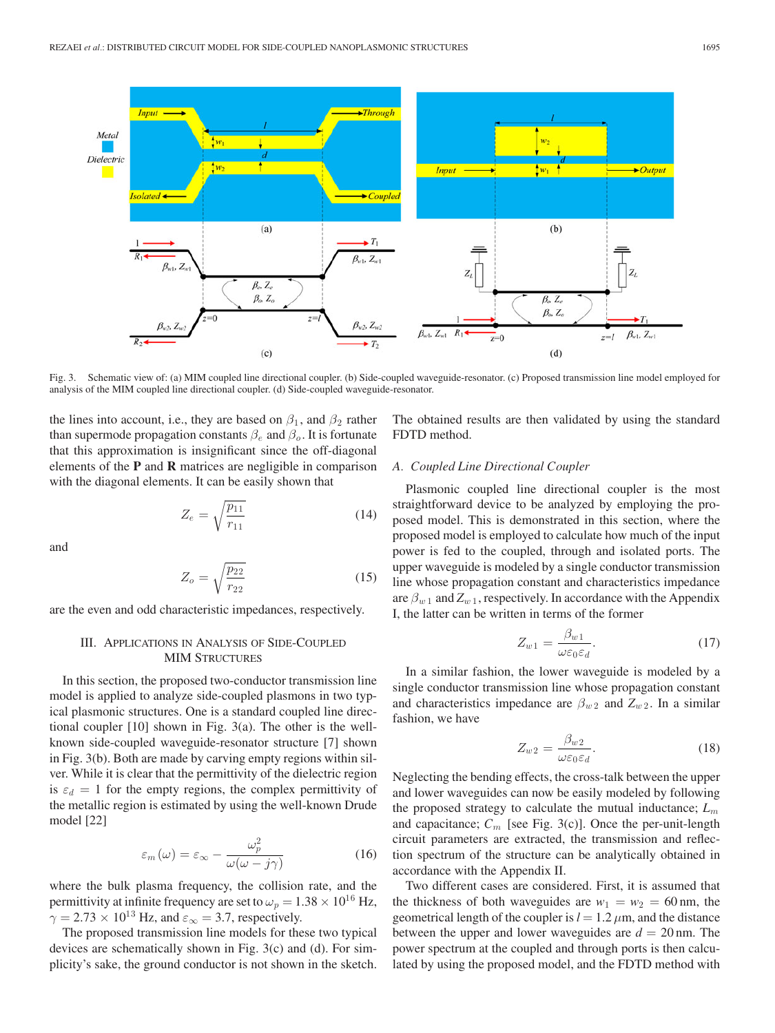

Fig. 3. Schematic view of: (a) MIM coupled line directional coupler. (b) Side-coupled waveguide-resonator. (c) Proposed transmission line model employed for analysis of the MIM coupled line directional coupler. (d) Side-coupled waveguide-resonator.

the lines into account, i.e., they are based on  $\beta_1$ , and  $\beta_2$  rather than supermode propagation constants  $\beta_e$  and  $\beta_o$ . It is fortunate that this approximation is insignificant since the off-diagonal elements of the **P** and **R** matrices are negligible in comparison with the diagonal elements. It can be easily shown that

$$
Z_e = \sqrt{\frac{p_{11}}{r_{11}}} \tag{14}
$$

and

$$
Z_o = \sqrt{\frac{p_{22}}{r_{22}}} \tag{15}
$$

are the even and odd characteristic impedances, respectively.

## III. APPLICATIONS IN ANALYSIS OF SIDE-COUPLED MIM STRUCTURES

In this section, the proposed two-conductor transmission line model is applied to analyze side-coupled plasmons in two typical plasmonic structures. One is a standard coupled line directional coupler [10] shown in Fig. 3(a). The other is the wellknown side-coupled waveguide-resonator structure [7] shown in Fig. 3(b). Both are made by carving empty regions within silver. While it is clear that the permittivity of the dielectric region is  $\varepsilon_d = 1$  for the empty regions, the complex permittivity of the metallic region is estimated by using the well-known Drude model [22]

$$
\varepsilon_m(\omega) = \varepsilon_\infty - \frac{\omega_p^2}{\omega(\omega - j\gamma)}
$$
(16)

where the bulk plasma frequency, the collision rate, and the permittivity at infinite frequency are set to  $\omega_p = 1.38 \times 10^{16}$  Hz,  $\gamma = 2.73 \times 10^{13}$  Hz, and  $\varepsilon_{\infty} = 3.7$ , respectively.

The proposed transmission line models for these two typical devices are schematically shown in Fig. 3(c) and (d). For simplicity's sake, the ground conductor is not shown in the sketch. The obtained results are then validated by using the standard FDTD method.

#### *A. Coupled Line Directional Coupler*

Plasmonic coupled line directional coupler is the most straightforward device to be analyzed by employing the proposed model. This is demonstrated in this section, where the proposed model is employed to calculate how much of the input power is fed to the coupled, through and isolated ports. The upper waveguide is modeled by a single conductor transmission line whose propagation constant and characteristics impedance are  $\beta_{w1}$  and  $Z_{w1}$ , respectively. In accordance with the Appendix I, the latter can be written in terms of the former

$$
Z_{w1} = \frac{\beta_{w1}}{\omega \varepsilon_0 \varepsilon_d}.
$$
 (17)

In a similar fashion, the lower waveguide is modeled by a single conductor transmission line whose propagation constant and characteristics impedance are  $\beta_{w2}$  and  $Z_{w2}$ . In a similar fashion, we have

$$
Z_{w2} = \frac{\beta_{w2}}{\omega \varepsilon_0 \varepsilon_d}.
$$
 (18)

Neglecting the bending effects, the cross-talk between the upper and lower waveguides can now be easily modeled by following the proposed strategy to calculate the mutual inductance;  $L_m$ and capacitance;  $C_m$  [see Fig. 3(c)]. Once the per-unit-length circuit parameters are extracted, the transmission and reflection spectrum of the structure can be analytically obtained in accordance with the Appendix II.

Two different cases are considered. First, it is assumed that the thickness of both waveguides are  $w_1 = w_2 = 60$  nm, the geometrical length of the coupler is  $l = 1.2 \mu$ m, and the distance between the upper and lower waveguides are  $d = 20$  nm. The power spectrum at the coupled and through ports is then calculated by using the proposed model, and the FDTD method with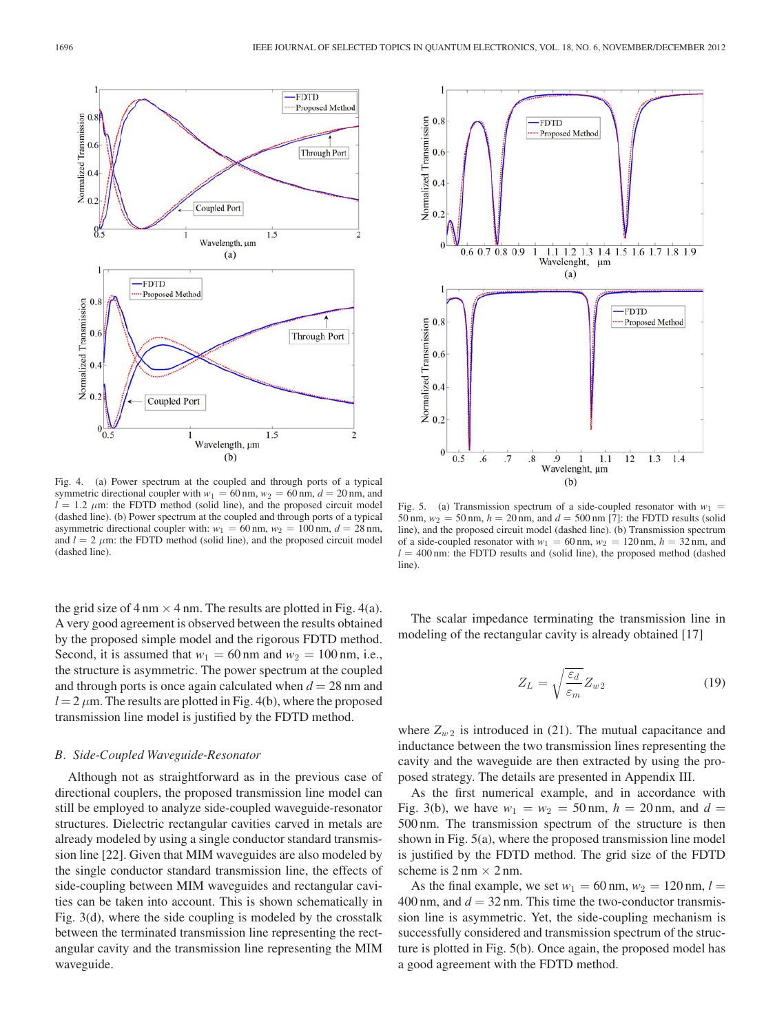

Fig. 4. (a) Power spectrum at the coupled and through ports of a typical symmetric directional coupler with  $w_1 = 60$  nm,  $w_2 = 60$  nm,  $d = 20$  nm, and  $l = 1.2 \mu$ m: the FDTD method (solid line), and the proposed circuit model (dashed line). (b) Power spectrum at the coupled and through ports of a typical asymmetric directional coupler with:  $w_1 = 60$  nm,  $w_2 = 100$  nm,  $d = 28$  nm, and  $l = 2 \mu m$ : the FDTD method (solid line), and the proposed circuit model (dashed line).

the grid size of  $4 \text{ nm} \times 4 \text{ nm}$ . The results are plotted in Fig. 4(a). A very good agreement is observed between the results obtained by the proposed simple model and the rigorous FDTD method. Second, it is assumed that  $w_1 = 60$  nm and  $w_2 = 100$  nm, i.e., the structure is asymmetric. The power spectrum at the coupled and through ports is once again calculated when  $d = 28$  nm and  $l = 2 \mu m$ . The results are plotted in Fig. 4(b), where the proposed transmission line model is justified by the FDTD method.

## *B. Side-Coupled Waveguide-Resonator*

Although not as straightforward as in the previous case of directional couplers, the proposed transmission line model can still be employed to analyze side-coupled waveguide-resonator structures. Dielectric rectangular cavities carved in metals are already modeled by using a single conductor standard transmission line [22]. Given that MIM waveguides are also modeled by the single conductor standard transmission line, the effects of side-coupling between MIM waveguides and rectangular cavities can be taken into account. This is shown schematically in Fig. 3(d), where the side coupling is modeled by the crosstalk between the terminated transmission line representing the rectangular cavity and the transmission line representing the MIM waveguide.



Fig. 5. (a) Transmission spectrum of a side-coupled resonator with  $w_1$  = 50 nm,  $w_2 = 50$  nm,  $h = 20$  nm, and  $d = 500$  nm [7]: the FDTD results (solid line), and the proposed circuit model (dashed line). (b) Transmission spectrum of a side-coupled resonator with  $w_1 = 60$  nm,  $w_2 = 120$  nm,  $h = 32$  nm, and  $l = 400$  nm: the FDTD results and (solid line), the proposed method (dashed line).

The scalar impedance terminating the transmission line in modeling of the rectangular cavity is already obtained [17]

$$
Z_L = \sqrt{\frac{\varepsilon_d}{\varepsilon_m}} Z_{w2} \tag{19}
$$

where  $Z_{w2}$  is introduced in (21). The mutual capacitance and inductance between the two transmission lines representing the cavity and the waveguide are then extracted by using the proposed strategy. The details are presented in Appendix III.

As the first numerical example, and in accordance with Fig. 3(b), we have  $w_1 = w_2 = 50$  nm,  $h = 20$  nm, and  $d =$ 500 nm. The transmission spectrum of the structure is then shown in Fig. 5(a), where the proposed transmission line model is justified by the FDTD method. The grid size of the FDTD scheme is  $2 \text{ nm} \times 2 \text{ nm}$ .

As the final example, we set  $w_1 = 60$  nm,  $w_2 = 120$  nm,  $l =$ 400 nm, and  $d = 32$  nm. This time the two-conductor transmission line is asymmetric. Yet, the side-coupling mechanism is successfully considered and transmission spectrum of the structure is plotted in Fig. 5(b). Once again, the proposed model has a good agreement with the FDTD method.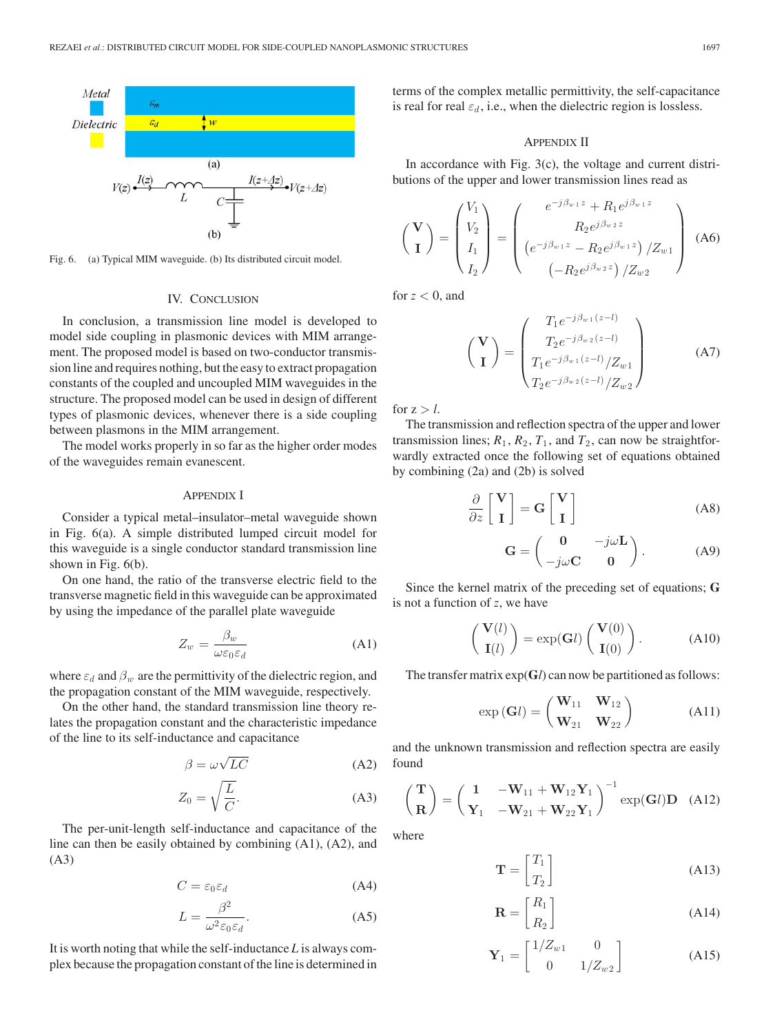

Fig. 6. (a) Typical MIM waveguide. (b) Its distributed circuit model.

#### IV. CONCLUSION

In conclusion, a transmission line model is developed to model side coupling in plasmonic devices with MIM arrangement. The proposed model is based on two-conductor transmission line and requires nothing, but the easy to extract propagation constants of the coupled and uncoupled MIM waveguides in the structure. The proposed model can be used in design of different types of plasmonic devices, whenever there is a side coupling between plasmons in the MIM arrangement.

The model works properly in so far as the higher order modes of the waveguides remain evanescent.

#### APPENDIX I

Consider a typical metal–insulator–metal waveguide shown in Fig. 6(a). A simple distributed lumped circuit model for this waveguide is a single conductor standard transmission line shown in Fig. 6(b).

On one hand, the ratio of the transverse electric field to the transverse magnetic field in this waveguide can be approximated by using the impedance of the parallel plate waveguide

$$
Z_w = \frac{\beta_w}{\omega \varepsilon_0 \varepsilon_d} \tag{A1}
$$

where  $\varepsilon_d$  and  $\beta_w$  are the permittivity of the dielectric region, and the propagation constant of the MIM waveguide, respectively.

On the other hand, the standard transmission line theory relates the propagation constant and the characteristic impedance of the line to its self-inductance and capacitance

$$
\beta = \omega \sqrt{LC}
$$
 (A2)

$$
Z_0 = \sqrt{\frac{L}{C}}.\tag{A3}
$$

The per-unit-length self-inductance and capacitance of the line can then be easily obtained by combining (A1), (A2), and (A3)

$$
C = \varepsilon_0 \varepsilon_d \tag{A4}
$$

$$
L = \frac{\beta^2}{\omega^2 \varepsilon_0 \varepsilon_d}.
$$
 (A5)

It is worth noting that while the self-inductance *L* is always complex because the propagation constant of the line is determined in terms of the complex metallic permittivity, the self-capacitance is real for real  $\varepsilon_d$ , i.e., when the dielectric region is lossless.

#### APPENDIX II

In accordance with Fig. 3(c), the voltage and current distributions of the upper and lower transmission lines read as

$$
\begin{pmatrix} \mathbf{V} \\ \mathbf{I} \end{pmatrix} = \begin{pmatrix} V_1 \\ V_2 \\ I_1 \\ I_2 \end{pmatrix} = \begin{pmatrix} e^{-j\beta_{w1}z} + R_1 e^{j\beta_{w1}z} \\ R_2 e^{j\beta_{w2}z} \\ (e^{-j\beta_{w1}z} - R_2 e^{j\beta_{w1}z}) / Z_{w1} \\ (-R_2 e^{j\beta_{w2}z}) / Z_{w2} \end{pmatrix}
$$
 (A6)

for  $z < 0$ , and

$$
\begin{pmatrix} \mathbf{V} \\ \mathbf{I} \end{pmatrix} = \begin{pmatrix} T_1 e^{-j\beta_{w_1}(z-l)} \\ T_2 e^{-j\beta_{w_2}(z-l)} \\ T_1 e^{-j\beta_{w_1}(z-l)}/Z_{w1} \\ T_2 e^{-j\beta_{w_2}(z-l)}/Z_{w2} \end{pmatrix}
$$
(A7)

for  $z > l$ .

The transmission and reflection spectra of the upper and lower transmission lines;  $R_1$ ,  $R_2$ ,  $T_1$ , and  $T_2$ , can now be straightforwardly extracted once the following set of equations obtained by combining (2a) and (2b) is solved

$$
\frac{\partial}{\partial z} \begin{bmatrix} \mathbf{V} \\ \mathbf{I} \end{bmatrix} = \mathbf{G} \begin{bmatrix} \mathbf{V} \\ \mathbf{I} \end{bmatrix}
$$
 (A8)

$$
\mathbf{G} = \begin{pmatrix} \mathbf{0} & -j\omega \mathbf{L} \\ -j\omega \mathbf{C} & \mathbf{0} \end{pmatrix} . \tag{A9}
$$

Since the kernel matrix of the preceding set of equations; **G** is not a function of *z*, we have

$$
\begin{pmatrix} \mathbf{V}(l) \\ \mathbf{I}(l) \end{pmatrix} = \exp(\mathbf{G}l) \begin{pmatrix} \mathbf{V}(0) \\ \mathbf{I}(0) \end{pmatrix} . \tag{A10}
$$

The transfer matrix exp(**G***l*) can now be partitioned as follows:

$$
\exp\left(\mathbf{G}l\right) = \begin{pmatrix} \mathbf{W}_{11} & \mathbf{W}_{12} \\ \mathbf{W}_{21} & \mathbf{W}_{22} \end{pmatrix} \tag{A11}
$$

and the unknown transmission and reflection spectra are easily found

$$
\begin{pmatrix} \mathbf{T} \\ \mathbf{R} \end{pmatrix} = \begin{pmatrix} \mathbf{1} & -\mathbf{W}_{11} + \mathbf{W}_{12} \mathbf{Y}_1 \\ \mathbf{Y}_1 & -\mathbf{W}_{21} + \mathbf{W}_{22} \mathbf{Y}_1 \end{pmatrix}^{-1} \exp(\mathbf{G}l) \mathbf{D} \quad (A12)
$$

where

$$
\mathbf{T} = \begin{bmatrix} T_1 \\ T_2 \end{bmatrix} \tag{A13}
$$

$$
\mathbf{R} = \begin{bmatrix} R_1 \\ R_2 \end{bmatrix} \tag{A14}
$$

$$
\mathbf{Y}_1 = \begin{bmatrix} 1/Z_{w1} & 0\\ 0 & 1/Z_{w2} \end{bmatrix} \tag{A15}
$$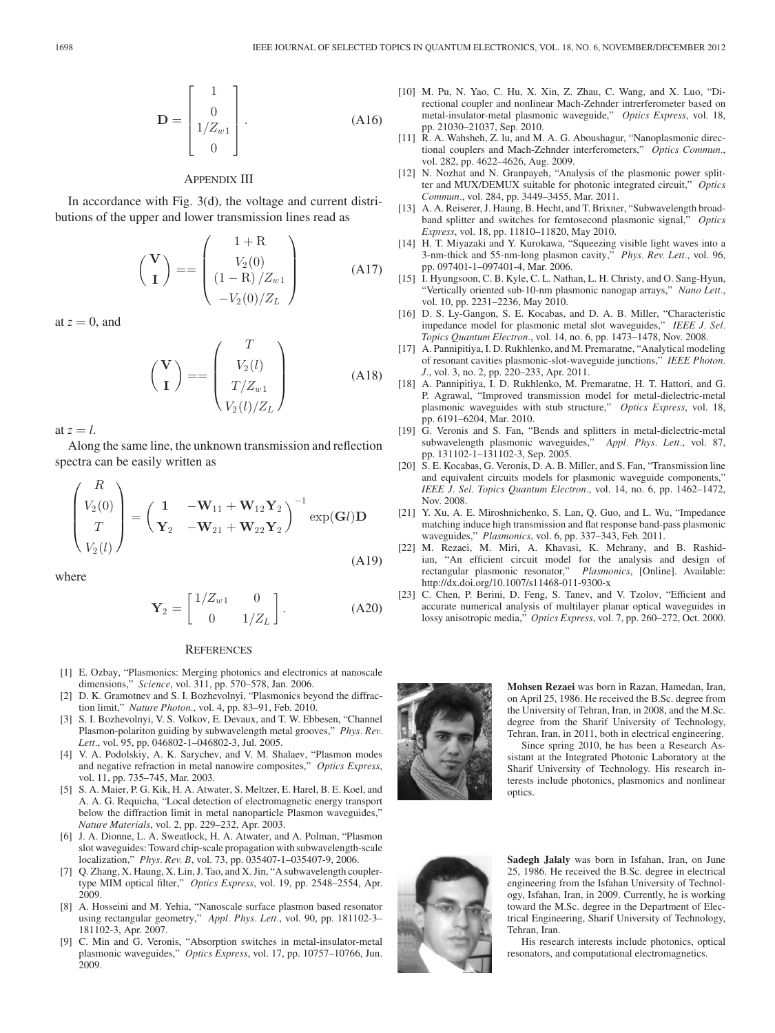$$
\mathbf{D} = \begin{bmatrix} 1 \\ 0 \\ 1/Z_{w1} \\ 0 \end{bmatrix} .
$$
 (A16)

#### APPENDIX III

In accordance with Fig. 3(d), the voltage and current distributions of the upper and lower transmission lines read as

$$
\begin{pmatrix} \mathbf{V} \\ \mathbf{I} \end{pmatrix} = = \begin{pmatrix} 1 + R \\ V_2(0) \\ (1 - R)/Z_{w1} \\ -V_2(0)/Z_L \end{pmatrix}
$$
 (A17)

at  $z = 0$ , and

$$
\begin{pmatrix} \mathbf{V} \\ \mathbf{I} \end{pmatrix} = = \begin{pmatrix} T \\ V_2(l) \\ T/Z_{w1} \\ V_2(l)/Z_L \end{pmatrix}
$$
 (A18)

at  $z = l$ .

Along the same line, the unknown transmission and reflection spectra can be easily written as

$$
\begin{pmatrix}\nR \\
V_2(0) \\
T \\
V_2(l)\n\end{pmatrix} = \begin{pmatrix}\n\mathbf{1} & -\mathbf{W}_{11} + \mathbf{W}_{12}\mathbf{Y}_2 \\
\mathbf{Y}_2 & -\mathbf{W}_{21} + \mathbf{W}_{22}\mathbf{Y}_2\n\end{pmatrix}^{-1} \exp(\mathbf{G}l)\mathbf{D}
$$
\n(A19)

where

$$
\mathbf{Y}_2 = \begin{bmatrix} 1/Z_{w1} & 0 \\ 0 & 1/Z_L \end{bmatrix} . \tag{A20}
$$

#### **REFERENCES**

- [1] E. Ozbay, "Plasmonics: Merging photonics and electronics at nanoscale dimensions," *Science*, vol. 311, pp. 570–578, Jan. 2006.
- [2] D. K. Gramotnev and S. I. Bozhevolnyi, "Plasmonics beyond the diffraction limit," *Nature Photon.*, vol. 4, pp. 83–91, Feb. 2010.
- [3] S. I. Bozhevolnyi, V. S. Volkov, E. Devaux, and T. W. Ebbesen, "Channel Plasmon-polariton guiding by subwavelength metal grooves," *Phys. Rev. Lett.*, vol. 95, pp. 046802-1–046802-3, Jul. 2005.
- [4] V. A. Podolskiy, A. K. Sarychev, and V. M. Shalaev, "Plasmon modes and negative refraction in metal nanowire composites," *Optics Express*, vol. 11, pp. 735–745, Mar. 2003.
- [5] S. A. Maier, P. G. Kik, H. A. Atwater, S. Meltzer, E. Harel, B. E. Koel, and A. A. G. Requicha, "Local detection of electromagnetic energy transport below the diffraction limit in metal nanoparticle Plasmon waveguides,' *Nature Materials*, vol. 2, pp. 229–232, Apr. 2003.
- [6] J. A. Dionne, L. A. Sweatlock, H. A. Atwater, and A. Polman, "Plasmon slot waveguides: Toward chip-scale propagation with subwavelength-scale localization," *Phys. Rev. B*, vol. 73, pp. 035407-1–035407-9, 2006.
- [7] O. Zhang, X. Haung, X. Lin, J. Tao, and X. Jin, "A subwavelength couplertype MIM optical filter," *Optics Express*, vol. 19, pp. 2548–2554, Apr. 2009.
- [8] A. Hosseini and M. Yehia, "Nanoscale surface plasmon based resonator using rectangular geometry," *Appl. Phys. Lett.*, vol. 90, pp. 181102-3– 181102-3, Apr. 2007.
- [9] C. Min and G. Veronis, "Absorption switches in metal-insulator-metal plasmonic waveguides," *Optics Express*, vol. 17, pp. 10757–10766, Jun. 2009.
- [10] M. Pu, N. Yao, C. Hu, X. Xin, Z. Zhau, C. Wang, and X. Luo, "Directional coupler and nonlinear Mach-Zehnder intrerferometer based on metal-insulator-metal plasmonic waveguide," *Optics Express*, vol. 18, pp. 21030–21037, Sep. 2010.
- [11] R. A. Wahsheh, Z. lu, and M. A. G. Aboushagur, "Nanoplasmonic directional couplers and Mach-Zehnder interferometers," *Optics Commun.*, vol. 282, pp. 4622–4626, Aug. 2009.
- [12] N. Nozhat and N. Granpayeh, "Analysis of the plasmonic power splitter and MUX/DEMUX suitable for photonic integrated circuit," *Optics Commun.*, vol. 284, pp. 3449–3455, Mar. 2011.
- [13] A. A. Reiserer, J. Haung, B. Hecht, and T. Brixner, "Subwavelength broadband splitter and switches for femtosecond plasmonic signal," *Optics Express*, vol. 18, pp. 11810–11820, May 2010.
- [14] H. T. Miyazaki and Y. Kurokawa, "Squeezing visible light waves into a 3-nm-thick and 55-nm-long plasmon cavity," *Phys. Rev. Lett.*, vol. 96, pp. 097401-1–097401-4, Mar. 2006.
- [15] I. Hyungsoon, C. B. Kyle, C. L. Nathan, L. H. Christy, and O. Sang-Hyun, "Vertically oriented sub-10-nm plasmonic nanogap arrays," *Nano Lett.*, vol. 10, pp. 2231–2236, May 2010.
- [16] D. S. Ly-Gangon, S. E. Kocabas, and D. A. B. Miller, "Characteristic impedance model for plasmonic metal slot waveguides," *IEEE J. Sel. Topics Quantum Electron.*, vol. 14, no. 6, pp. 1473–1478, Nov. 2008.
- [17] A. Pannipitiya, I. D. Rukhlenko, and M. Premaratne, "Analytical modeling of resonant cavities plasmonic-slot-waveguide junctions," *IEEE Photon. J.*, vol. 3, no. 2, pp. 220–233, Apr. 2011.
- [18] A. Pannipitiya, I. D. Rukhlenko, M. Premaratne, H. T. Hattori, and G. P. Agrawal, "Improved transmission model for metal-dielectric-metal plasmonic waveguides with stub structure," *Optics Express*, vol. 18, pp. 6191–6204, Mar. 2010.
- [19] G. Veronis and S. Fan, "Bends and splitters in metal-dielectric-metal subwavelength plasmonic waveguides," *Appl. Phys. Lett.*, vol. 87, pp. 131102-1–131102-3, Sep. 2005.
- [20] S. E. Kocabas, G. Veronis, D. A. B. Miller, and S. Fan, "Transmission line and equivalent circuits models for plasmonic waveguide components," *IEEE J. Sel. Topics Quantum Electron.*, vol. 14, no. 6, pp. 1462–1472, Nov. 2008.
- [21] Y. Xu, A. E. Miroshnichenko, S. Lan, Q. Guo, and L. Wu, "Impedance matching induce high transmission and flat response band-pass plasmonic waveguides," *Plasmonics*, vol. 6, pp. 337–343, Feb. 2011.
- [22] M. Rezaei, M. Miri, A. Khavasi, K. Mehrany, and B. Rashidian, "An efficient circuit model for the analysis and design of rectangular plasmonic resonator," *Plasmonics*, [Online]. Available: http://dx.doi.org/10.1007/s11468-011-9300-x
- [23] C. Chen, P. Berini, D. Feng, S. Tanev, and V. Tzolov, "Efficient and accurate numerical analysis of multilayer planar optical waveguides in lossy anisotropic media," *Optics Express*, vol. 7, pp. 260–272, Oct. 2000.



**Mohsen Rezaei** was born in Razan, Hamedan, Iran, on April 25, 1986. He received the B.Sc. degree from the University of Tehran, Iran, in 2008, and the M.Sc. degree from the Sharif University of Technology, Tehran, Iran, in 2011, both in electrical engineering.

Since spring 2010, he has been a Research Assistant at the Integrated Photonic Laboratory at the Sharif University of Technology. His research interests include photonics, plasmonics and nonlinear optics.



**Sadegh Jalaly** was born in Isfahan, Iran, on June 25, 1986. He received the B.Sc. degree in electrical engineering from the Isfahan University of Technology, Isfahan, Iran, in 2009. Currently, he is working toward the M.Sc. degree in the Department of Electrical Engineering, Sharif University of Technology, Tehran, Iran.

His research interests include photonics, optical resonators, and computational electromagnetics.